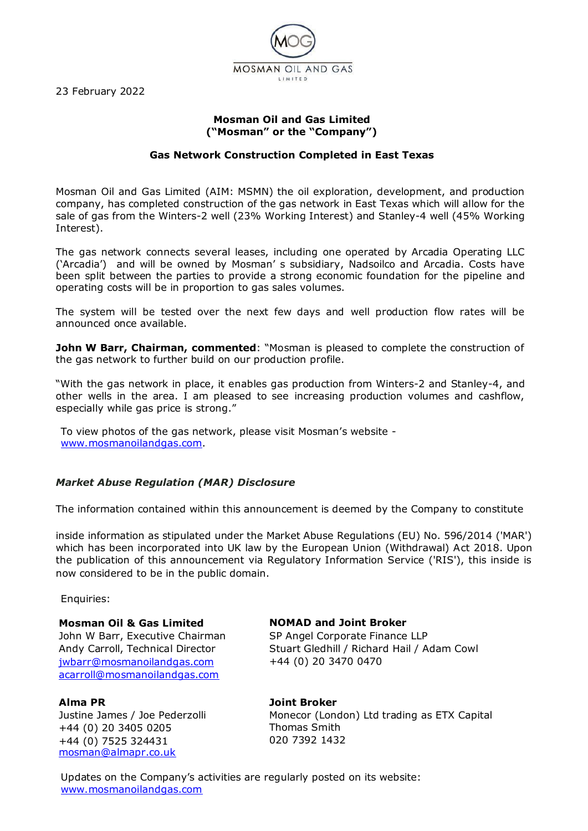23 February 2022



# **Mosman Oil and Gas Limited ("Mosman" or the "Company")**

## **Gas Network Construction Completed in East Texas**

Mosman Oil and Gas Limited (AIM: MSMN) the oil exploration, development, and production company, has completed construction of the gas network in East Texas which will allow for the sale of gas from the Winters-2 well (23% Working Interest) and Stanley-4 well (45% Working Interest).

The gas network connects several leases, including one operated by Arcadia Operating LLC ('Arcadia') and will be owned by Mosman' s subsidiary, Nadsoilco and Arcadia. Costs have been split between the parties to provide a strong economic foundation for the pipeline and operating costs will be in proportion to gas sales volumes.

The system will be tested over the next few days and well production flow rates will be announced once available.

**John W Barr, Chairman, commented:** "Mosman is pleased to complete the construction of the gas network to further build on our production profile.

"With the gas network in place, it enables gas production from Winters-2 and Stanley-4, and other wells in the area. I am pleased to see increasing production volumes and cashflow, especially while gas price is strong."

To view photos of the gas network, please visit Mosman's website [www.mosmanoilandgas.com.](http://www.mosmanoilandgas.com/)

### *Market Abuse Regulation (MAR) Disclosure*

The information contained within this announcement is deemed by the Company to constitute

inside information as stipulated under the Market Abuse Regulations (EU) No. 596/2014 ('MAR') which has been incorporated into UK law by the European Union (Withdrawal) Act 2018. Upon the publication of this announcement via Regulatory Information Service ('RIS'), this inside is now considered to be in the public domain.

Enquiries:

**Mosman Oil & Gas Limited**  John W Barr, Executive Chairman Andy Carroll, Technical Director [jwbarr@mosmanoilandgas.com](mailto:jwbarr@mosmanoilandgas.com) [acarroll@mosmanoilandgas.com](mailto:acarroll@mosmanoilandgas.com)

### **Alma PR**

Justine James / Joe Pederzolli +44 (0) 20 3405 0205 +44 (0) 7525 324431 [mosman@almapr.co.uk](mailto:mosman@almapr.co.uk)

### **NOMAD and Joint Broker**

SP Angel Corporate Finance LLP Stuart Gledhill / Richard Hail / Adam Cowl +44 (0) 20 3470 0470

**Joint Broker**

Monecor (London) Ltd trading as ETX Capital Thomas Smith 020 7392 1432

Updates on the Company's activities are regularly posted on its website: [www.mosmanoilandgas.com](http://www.mosmanoilandgas.com/)